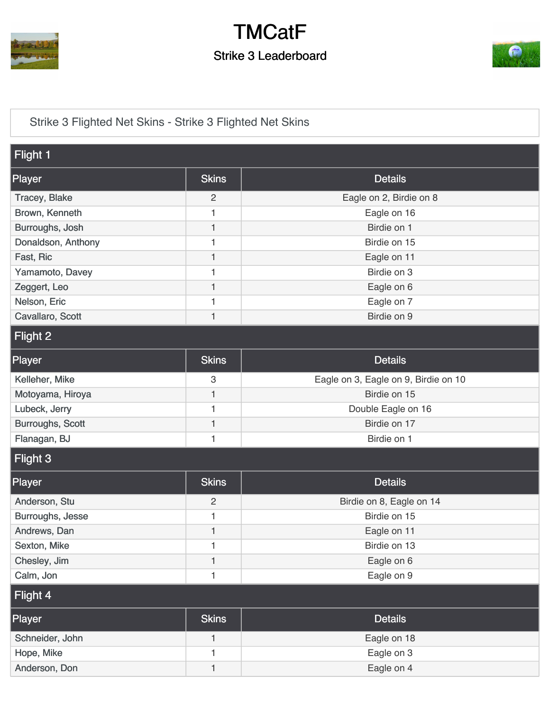

## **TMCatF** Strike 3 Leaderboard



[Strike 3 Flighted Net Skins - Strike 3 Flighted Net Skins](https://cdn2.golfgenius.com/v2tournaments/5273411395545741950)

| Flight 1                |                |                                      |
|-------------------------|----------------|--------------------------------------|
| Player                  | <b>Skins</b>   | <b>Details</b>                       |
| <b>Tracey, Blake</b>    | $\overline{c}$ | Eagle on 2, Birdie on 8              |
| Brown, Kenneth          | 1              | Eagle on 16                          |
| Burroughs, Josh         | $\mathbf{1}$   | Birdie on 1                          |
| Donaldson, Anthony      | 1              | Birdie on 15                         |
| Fast, Ric               | $\mathbf{1}$   | Eagle on 11                          |
| Yamamoto, Davey         | 1              | Birdie on 3                          |
| Zeggert, Leo            | $\mathbf{1}$   | Eagle on 6                           |
| Nelson, Eric            | 1              | Eagle on 7                           |
| Cavallaro, Scott        | 1              | Birdie on 9                          |
| Flight 2                |                |                                      |
| Player                  | <b>Skins</b>   | <b>Details</b>                       |
| Kelleher, Mike          | $\mathfrak{S}$ | Eagle on 3, Eagle on 9, Birdie on 10 |
| Motoyama, Hiroya        | 1              | Birdie on 15                         |
| Lubeck, Jerry           | 1              | Double Eagle on 16                   |
| <b>Burroughs, Scott</b> | 1              | Birdie on 17                         |
| Flanagan, BJ            | 1              | Birdie on 1                          |
| Flight 3                |                |                                      |
| Player                  | <b>Skins</b>   | <b>Details</b>                       |
| Anderson, Stu           | $\mathbf{2}$   | Birdie on 8, Eagle on 14             |
| Burroughs, Jesse        | 1              | Birdie on 15                         |
| Andrews, Dan            | 1              | Eagle on 11                          |
| Sexton, Mike            | 1              | Birdie on 13                         |
| Chesley, Jim            | $\mathbf{1}$   | Eagle on 6                           |
| Calm, Jon               | 1              | Eagle on 9                           |
| Flight 4                |                |                                      |
| Player                  | <b>Skins</b>   | <b>Details</b>                       |
| Schneider, John         | $\mathbf{1}$   | Eagle on 18                          |
| Hope, Mike              | 1              | Eagle on 3                           |
| Anderson, Don           | 1              | Eagle on 4                           |